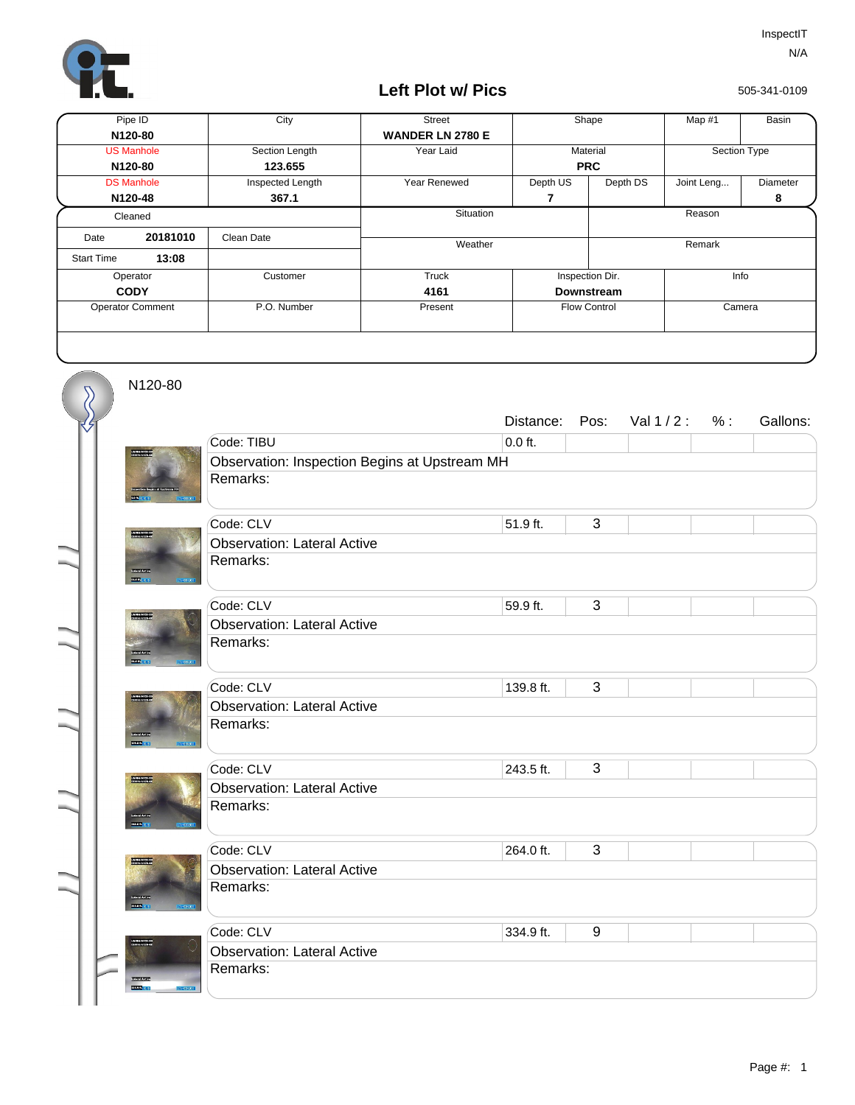

## **Left Plot w/ Pics**

505-341-0109

| Pipe ID                 |          | City             | <b>Street</b>           | Shape               |          | Map #1       | Basin    |
|-------------------------|----------|------------------|-------------------------|---------------------|----------|--------------|----------|
|                         | N120-80  |                  | <b>WANDER LN 2780 E</b> |                     |          |              |          |
| <b>US Manhole</b>       |          | Section Length   | Year Laid               | Material            |          | Section Type |          |
| N120-80                 |          | 123.655          |                         | <b>PRC</b>          |          |              |          |
| <b>DS Manhole</b>       |          | Inspected Length | Year Renewed            | Depth US            | Depth DS | Joint Leng   | Diameter |
|                         | N120-48  | 367.1            |                         | 7                   |          |              | 8        |
| Cleaned                 |          |                  | Situation               | Reason              |          |              |          |
| Date                    | 20181010 | Clean Date       | Weather                 |                     | Remark   |              |          |
| <b>Start Time</b>       | 13:08    |                  |                         |                     |          |              |          |
| Operator                |          | Customer         | Truck                   | Inspection Dir.     |          | Info         |          |
| <b>CODY</b>             |          |                  | 4161                    | <b>Downstream</b>   |          |              |          |
| <b>Operator Comment</b> |          | P.O. Number      | Present                 | <b>Flow Control</b> |          | Camera       |          |
|                         |          |                  |                         |                     |          |              |          |

N120-80

 $\overline{\mathcal{S}}$ 

|                                   |                                               | Distance: | Pos:             | Val $1/2$ : | % : | Gallons: |  |  |  |
|-----------------------------------|-----------------------------------------------|-----------|------------------|-------------|-----|----------|--|--|--|
|                                   | Code: TIBU                                    | $0.0$ ft. |                  |             |     |          |  |  |  |
|                                   | Observation: Inspection Begins at Upstream MH |           |                  |             |     |          |  |  |  |
|                                   | Remarks:                                      |           |                  |             |     |          |  |  |  |
|                                   | Code: CLV                                     | 51.9 ft.  | 3                |             |     |          |  |  |  |
| <b>WARRENT</b>                    | <b>Observation: Lateral Active</b>            |           |                  |             |     |          |  |  |  |
|                                   | Remarks:                                      |           |                  |             |     |          |  |  |  |
| <b>CHANNEL</b><br><b>COLL</b>     |                                               |           |                  |             |     |          |  |  |  |
| 06900021123.13<br>0590019153-42   | Code: CLV                                     | 59.9 ft.  | 3                |             |     |          |  |  |  |
|                                   | <b>Observation: Lateral Active</b>            |           |                  |             |     |          |  |  |  |
|                                   | Remarks:                                      |           |                  |             |     |          |  |  |  |
| 2500(0)                           |                                               |           |                  |             |     |          |  |  |  |
|                                   | Code: CLV                                     | 139.8 ft. | 3                |             |     |          |  |  |  |
|                                   | <b>Observation: Lateral Active</b>            |           |                  |             |     |          |  |  |  |
| <b>EXECUTIVE</b>                  | Remarks:                                      |           |                  |             |     |          |  |  |  |
|                                   | Code: CLV                                     | 243.5 ft. | $\overline{3}$   |             |     |          |  |  |  |
| --------<br>--------              | <b>Observation: Lateral Active</b>            |           |                  |             |     |          |  |  |  |
|                                   | Remarks:                                      |           |                  |             |     |          |  |  |  |
| 241699.7L                         |                                               |           |                  |             |     |          |  |  |  |
|                                   | Code: CLV                                     | 264.0 ft. | 3                |             |     |          |  |  |  |
| ituan prisas sa<br>Linux suremut  | <b>Observation: Lateral Active</b>            |           |                  |             |     |          |  |  |  |
|                                   | Remarks:                                      |           |                  |             |     |          |  |  |  |
| <b>Samu</b>                       |                                               |           |                  |             |     |          |  |  |  |
| USANDANI 23'EX<br>Octobris 150'ex | Code: CLV                                     | 334.9 ft. | $\boldsymbol{9}$ |             |     |          |  |  |  |
|                                   | <b>Observation: Lateral Active</b>            |           |                  |             |     |          |  |  |  |
| <b>Thursday</b>                   | Remarks:                                      |           |                  |             |     |          |  |  |  |
| 221210-013                        |                                               |           |                  |             |     |          |  |  |  |
|                                   |                                               |           |                  |             |     |          |  |  |  |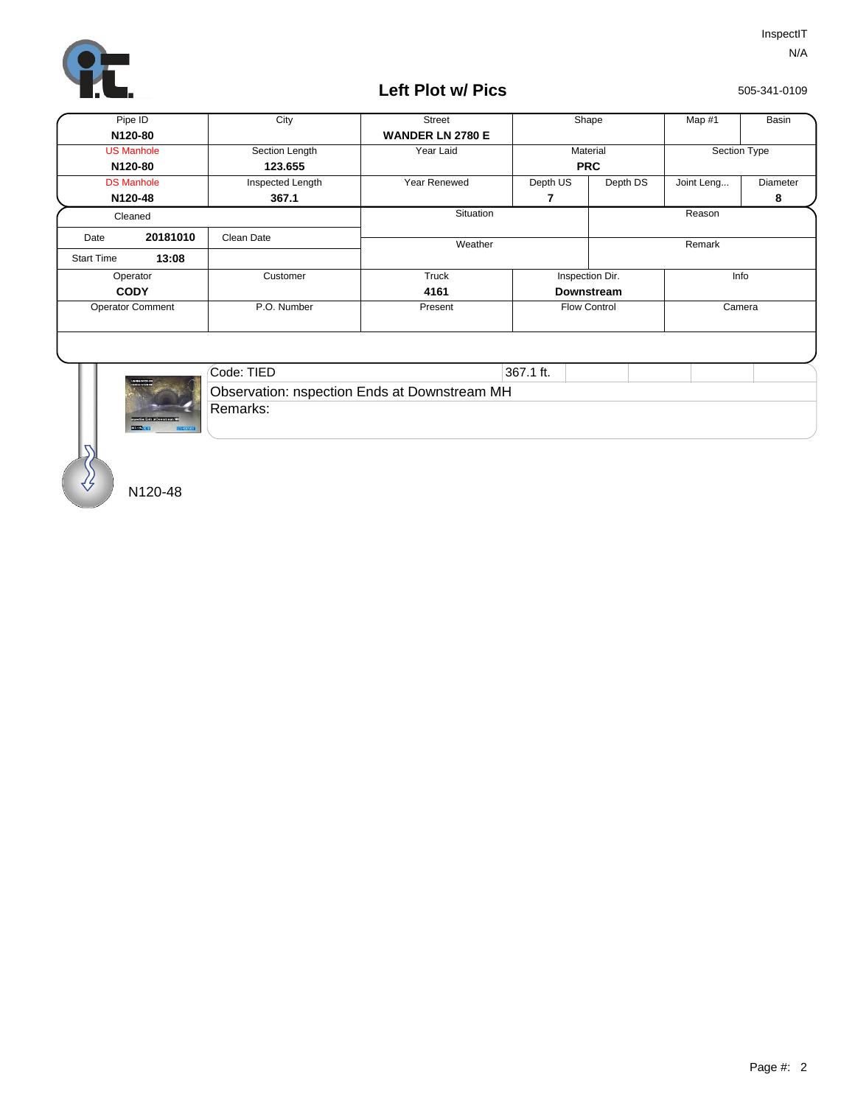

## **Left Plot w/ Pics**

505-341-0109

| Pipe ID                 |                          | City             | <b>Street</b>           | Shape               |          | Map #1     | Basin        |  |
|-------------------------|--------------------------|------------------|-------------------------|---------------------|----------|------------|--------------|--|
| N120-80                 |                          |                  | <b>WANDER LN 2780 E</b> |                     |          |            |              |  |
| <b>US Manhole</b>       |                          | Section Length   | Year Laid               |                     | Material |            | Section Type |  |
| N120-80                 |                          | 123.655          |                         | <b>PRC</b>          |          |            |              |  |
| <b>DS Manhole</b>       |                          | Inspected Length | Year Renewed            | Depth US            | Depth DS | Joint Leng | Diameter     |  |
| N120-48                 |                          | 367.1            |                         | 7                   |          |            | 8            |  |
| Cleaned                 |                          |                  | Situation               | Reason              |          |            |              |  |
| Date                    | 20181010                 | Clean Date       |                         |                     |          |            |              |  |
| <b>Start Time</b>       | 13:08                    |                  | Weather                 |                     |          |            | Remark       |  |
| Operator                |                          | Customer         | Truck                   | Inspection Dir.     |          | Info       |              |  |
| <b>CODY</b>             |                          |                  | 4161                    | <b>Downstream</b>   |          |            |              |  |
| <b>Operator Comment</b> |                          | P.O. Number      | Present                 | <b>Flow Control</b> |          | Camera     |              |  |
|                         |                          |                  |                         |                     |          |            |              |  |
|                         | $\sim$<br>09/09/09/22 23 | Code: TIED       |                         | 367.1 ft.           |          |            |              |  |



| Code: TIED<br>367.1 ft.                      |  |  |  |  |  |  |  |
|----------------------------------------------|--|--|--|--|--|--|--|
| Observation: nspection Ends at Downstream MH |  |  |  |  |  |  |  |
| Remarks:                                     |  |  |  |  |  |  |  |

N120-48